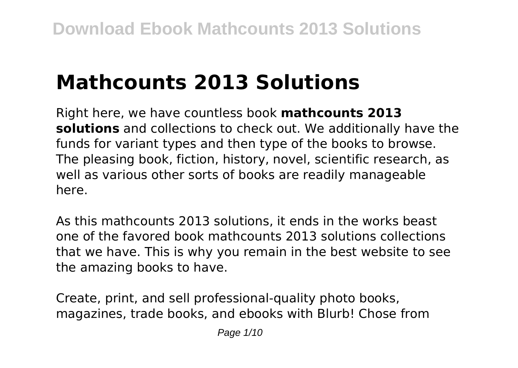# **Mathcounts 2013 Solutions**

Right here, we have countless book **mathcounts 2013 solutions** and collections to check out. We additionally have the funds for variant types and then type of the books to browse. The pleasing book, fiction, history, novel, scientific research, as well as various other sorts of books are readily manageable here.

As this mathcounts 2013 solutions, it ends in the works beast one of the favored book mathcounts 2013 solutions collections that we have. This is why you remain in the best website to see the amazing books to have.

Create, print, and sell professional-quality photo books, magazines, trade books, and ebooks with Blurb! Chose from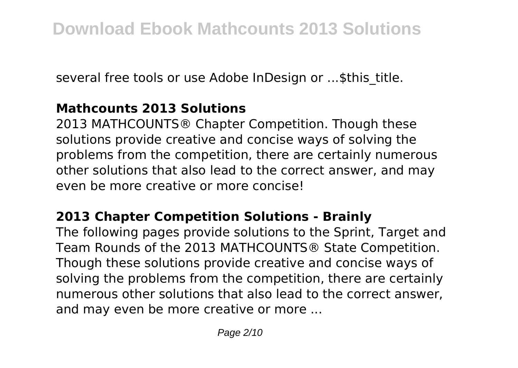several free tools or use Adobe InDesign or ...\$this\_title.

# **Mathcounts 2013 Solutions**

2013 MATHCOUNTS® Chapter Competition. Though these solutions provide creative and concise ways of solving the problems from the competition, there are certainly numerous other solutions that also lead to the correct answer, and may even be more creative or more concise!

## **2013 Chapter Competition Solutions - Brainly**

The following pages provide solutions to the Sprint, Target and Team Rounds of the 2013 MATHCOUNTS® State Competition. Though these solutions provide creative and concise ways of solving the problems from the competition, there are certainly numerous other solutions that also lead to the correct answer, and may even be more creative or more ...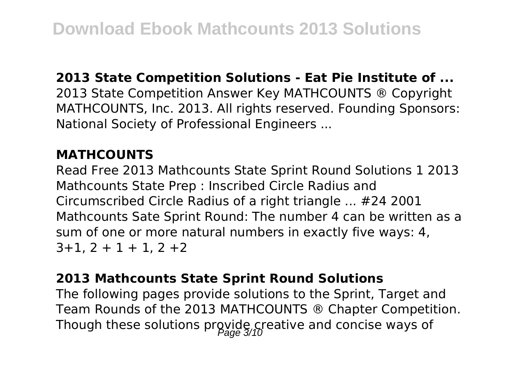#### **2013 State Competition Solutions - Eat Pie Institute of ...**

2013 State Competition Answer Key MATHCOUNTS ® Copyright MATHCOUNTS, Inc. 2013. All rights reserved. Founding Sponsors: National Society of Professional Engineers ...

## **MATHCOUNTS**

Read Free 2013 Mathcounts State Sprint Round Solutions 1 2013 Mathcounts State Prep : Inscribed Circle Radius and Circumscribed Circle Radius of a right triangle ... #24 2001 Mathcounts Sate Sprint Round: The number 4 can be written as a sum of one or more natural numbers in exactly five ways: 4,  $3+1$ ,  $2+1+1$ ,  $2+2$ 

#### **2013 Mathcounts State Sprint Round Solutions**

The following pages provide solutions to the Sprint, Target and Team Rounds of the 2013 MATHCOUNTS ® Chapter Competition. Though these solutions provide creative and concise ways of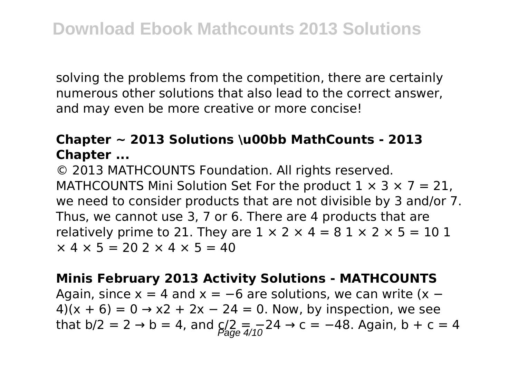solving the problems from the competition, there are certainly numerous other solutions that also lead to the correct answer, and may even be more creative or more concise!

# **Chapter ~ 2013 Solutions \u00bb MathCounts - 2013 Chapter ...**

© 2013 MATHCOUNTS Foundation. All rights reserved. MATHCOUNTS Mini Solution Set For the product  $1 \times 3 \times 7 = 21$ . we need to consider products that are not divisible by 3 and/or 7. Thus, we cannot use 3, 7 or 6. There are 4 products that are relatively prime to 21. They are  $1 \times 2 \times 4 = 81 \times 2 \times 5 = 101$  $\times$  4  $\times$  5 = 20 2  $\times$  4  $\times$  5 = 40

**Minis February 2013 Activity Solutions - MATHCOUNTS** Again, since  $x = 4$  and  $x = -6$  are solutions, we can write  $(x -$ 4)(x + 6) = 0 → x2 + 2x - 24 = 0. Now, by inspection, we see that  $b/2 = 2 \rightarrow b = 4$ , and  $c/2 = \frac{1}{4/10}24 \rightarrow c = -48$ . Again,  $b + c = 4$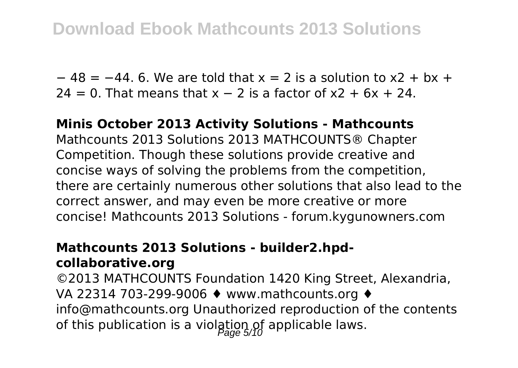$-48 = -44$ . 6. We are told that  $x = 2$  is a solution to  $x^2 + bx +$  $24 = 0$ . That means that x – 2 is a factor of x2 + 6x + 24.

## **Minis October 2013 Activity Solutions - Mathcounts**

Mathcounts 2013 Solutions 2013 MATHCOUNTS® Chapter Competition. Though these solutions provide creative and concise ways of solving the problems from the competition, there are certainly numerous other solutions that also lead to the correct answer, and may even be more creative or more concise! Mathcounts 2013 Solutions - forum.kygunowners.com

#### **Mathcounts 2013 Solutions - builder2.hpdcollaborative.org**

©2013 MATHCOUNTS Foundation 1420 King Street, Alexandria, VA 22314 703-299-9006 ♦ www.mathcounts.org ♦ info@mathcounts.org Unauthorized reproduction of the contents of this publication is a violation of applicable laws.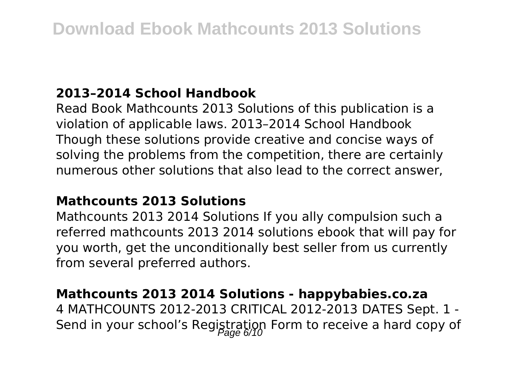# **2013–2014 School Handbook**

Read Book Mathcounts 2013 Solutions of this publication is a violation of applicable laws. 2013–2014 School Handbook Though these solutions provide creative and concise ways of solving the problems from the competition, there are certainly numerous other solutions that also lead to the correct answer,

## **Mathcounts 2013 Solutions**

Mathcounts 2013 2014 Solutions If you ally compulsion such a referred mathcounts 2013 2014 solutions ebook that will pay for you worth, get the unconditionally best seller from us currently from several preferred authors.

#### **Mathcounts 2013 2014 Solutions - happybabies.co.za**

4 MATHCOUNTS 2012-2013 CRITICAL 2012-2013 DATES Sept. 1 - Send in your school's Registration Form to receive a hard copy of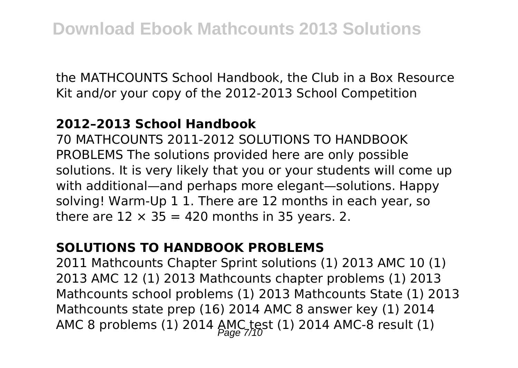the MATHCOUNTS School Handbook, the Club in a Box Resource Kit and/or your copy of the 2012-2013 School Competition

#### **2012–2013 School Handbook**

70 MATHCOUNTS 2011-2012 SOLUTIONS TO HANDBOOK PROBLEMS The solutions provided here are only possible solutions. It is very likely that you or your students will come up with additional—and perhaps more elegant—solutions. Happy solving! Warm-Up 1 1. There are 12 months in each year, so there are  $12 \times 35 = 420$  months in 35 years. 2.

## **SOLUTIONS TO HANDBOOK PROBLEMS**

2011 Mathcounts Chapter Sprint solutions (1) 2013 AMC 10 (1) 2013 AMC 12 (1) 2013 Mathcounts chapter problems (1) 2013 Mathcounts school problems (1) 2013 Mathcounts State (1) 2013 Mathcounts state prep (16) 2014 AMC 8 answer key (1) 2014 AMC 8 problems (1) 2014 AMC test (1) 2014 AMC-8 result (1)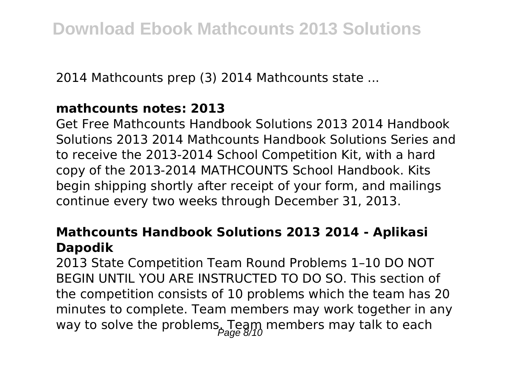2014 Mathcounts prep (3) 2014 Mathcounts state ...

#### **mathcounts notes: 2013**

Get Free Mathcounts Handbook Solutions 2013 2014 Handbook Solutions 2013 2014 Mathcounts Handbook Solutions Series and to receive the 2013-2014 School Competition Kit, with a hard copy of the 2013-2014 MATHCOUNTS School Handbook. Kits begin shipping shortly after receipt of your form, and mailings continue every two weeks through December 31, 2013.

## **Mathcounts Handbook Solutions 2013 2014 - Aplikasi Dapodik**

2013 State Competition Team Round Problems 1–10 DO NOT BEGIN UNTIL YOU ARE INSTRUCTED TO DO SO. This section of the competition consists of 10 problems which the team has 20 minutes to complete. Team members may work together in any way to solve the problems. Team members may talk to each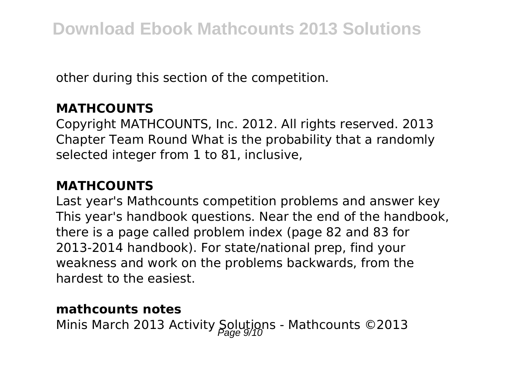other during this section of the competition.

# **MATHCOUNTS**

Copyright MATHCOUNTS, Inc. 2012. All rights reserved. 2013 Chapter Team Round What is the probability that a randomly selected integer from 1 to 81, inclusive,

# **MATHCOUNTS**

Last year's Mathcounts competition problems and answer key This year's handbook questions. Near the end of the handbook, there is a page called problem index (page 82 and 83 for 2013-2014 handbook). For state/national prep, find your weakness and work on the problems backwards, from the hardest to the easiest.

## **mathcounts notes**

Minis March 2013 Activity Solutions - Mathcounts ©2013